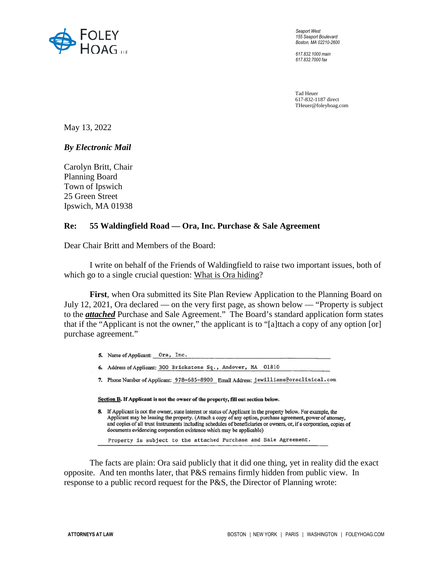

*Seaport West 155 Seaport Boulevard Boston, MA 02210-2600* 

*617.832.1000 main 617.832.7000 fax* 

Tad Heuer 617-832-1187 direct THeuer@foleyhoag.com

May 13, 2022

*By Electronic Mail* 

Carolyn Britt, Chair Planning Board Town of Ipswich 25 Green Street Ipswich, MA 01938

## **Re: 55 Waldingfield Road — Ora, Inc. Purchase & Sale Agreement**

Dear Chair Britt and Members of the Board:

I write on behalf of the Friends of Waldingfield to raise two important issues, both of which go to a single crucial question: What is Ora hiding?

**First**, when Ora submitted its Site Plan Review Application to the Planning Board on July 12, 2021, Ora declared — on the very first page, as shown below — "Property is subject to the *attached* Purchase and Sale Agreement." The Board's standard application form states that if the "Applicant is not the owner," the applicant is to "[a]ttach a copy of any option [or] purchase agreement."

- 5. Name of Applicant: Ora, Inc.
- 6. Address of Applicant: 300 Brickstone Sq., Andover, MA 01810
- 7. Phone Number of Applicant: 978-685-8900 Email Address: jewilliams@oraclinical.com

Section B. If Applicant is not the owner of the property, fill out section below.

8. If Applicant is not the owner, state interest or status of Applicant in the property below. For example, the Applicant may be leasing the property. (Attach a copy of any option, purchase agreement, power of attorney, and copies of all trust instruments including schedules of beneficiaries or owners, or, if a corporation, copies of documents evidencing corporation existence which may be applicable)

Property is subject to the attached Purchase and Sale Agreement.

The facts are plain: Ora said publicly that it did one thing, yet in reality did the exact opposite. And ten months later, that P&S remains firmly hidden from public view. In response to a public record request for the P&S, the Director of Planning wrote: